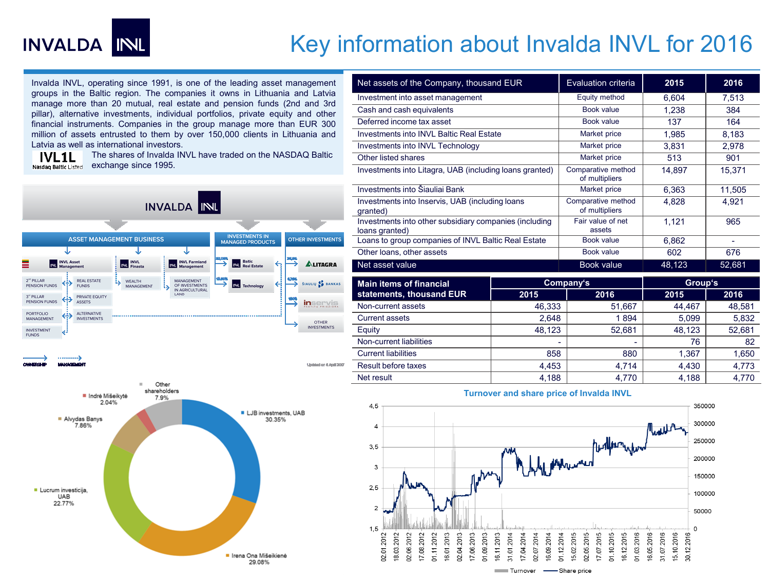

## Key information about Invalda INVL for 2016

Invalda INVL, operating since 1991, is one of the leading asset management groups in the Baltic region. The companies it owns in Lithuania and Latvia manage more than 20 mutual, real estate and pension funds (2nd and 3rd pillar), alternative investments, individual portfolios, private equity and other financial instruments. Companies in the group manage more than EUR 300 million of assets entrusted to them by over 150,000 clients in Lithuania and Latvia as well as international investors.

The shares of Invalda INVL have traded on the NASDAQ Baltic **IVL1L** Nasdag Baltic Listed exchange since 1995.



Updated on 6 April 200





| Net assets of the Company, thousand EUR                                  |        | Evaluation criteria                  | 2015   | 2016           |  |
|--------------------------------------------------------------------------|--------|--------------------------------------|--------|----------------|--|
| Investment into asset management                                         |        | Equity method                        | 6,604  | 7,513          |  |
| Cash and cash equivalents                                                |        | Book value                           | 1.238  | 384            |  |
| Deferred income tax asset                                                |        | Book value                           | 137    | 164            |  |
| Investments into INVL Baltic Real Estate                                 |        | Market price                         | 1,985  | 8,183          |  |
| <b>Investments into INVL Technology</b>                                  |        | Market price                         | 3,831  | 2.978          |  |
| Other listed shares                                                      |        | Market price                         | 513    | 901            |  |
| Investments into Litagra, UAB (including loans granted)                  |        | Comparative method<br>of multipliers | 14,897 | 15,371         |  |
| Investments into Šiauliai Bank                                           |        | Market price                         | 6.363  | 11,505         |  |
| Investments into Inservis, UAB (including loans<br>qranted)              |        | Comparative method<br>of multipliers | 4,828  | 4,921          |  |
| Investments into other subsidiary companies (including<br>loans granted) |        | Fair value of net<br>assets          | 1,121  | 965            |  |
| Loans to group companies of INVL Baltic Real Estate                      |        | Book value                           | 6.862  | $\overline{a}$ |  |
| Other loans, other assets                                                |        | Book value                           | 602    | 676            |  |
| Net asset value                                                          |        | Book value                           | 48,123 | 52,681         |  |
| <b>Main items of financial</b>                                           |        | Company's                            |        | Group's        |  |
| statements, thousand EUR                                                 | 2015   | 2016                                 | 2015   | 2016           |  |
| Non-current assets                                                       | 46.333 | 51,667                               | 44,467 | 48.581         |  |
| <b>Current assets</b>                                                    | 2.648  | 1894                                 | 5,099  | 5,832          |  |
| Equity                                                                   | 48.123 | 52.681                               | 48,123 | 52.681         |  |
| Non-current liabilities                                                  |        |                                      | 76     | 82             |  |
| <b>Current liabilities</b>                                               | 858    | 880                                  | 1,367  | 1,650          |  |
| Result before taxes                                                      | 4,453  | 4,714                                | 4,430  | 4,773          |  |
| Net result                                                               | 4.188  | 4.770                                | 4.188  | 4.770          |  |



## **Turnover and share price of Invalda INVL**